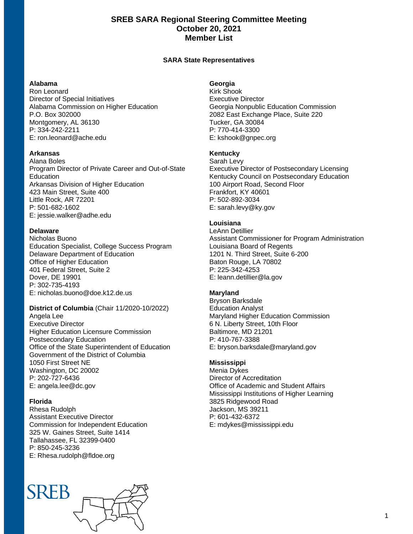# **SREB SARA Regional Steering Committee Meeting October 20, 2021 Member List**

## **SARA State Representatives**

#### **Alabama**

Ron Leonard Director of Special Initiatives Alabama Commission on Higher Education P.O. Box 302000 Montgomery, AL 36130 P: 334-242-2211 E: ron.leonard@ache.edu

#### **Arkansas**

Alana Boles Program Director of Private Career and Out-of-State Education Arkansas Division of Higher Education 423 Main Street, Suite 400 Little Rock, AR 72201 P: 501-682-1602 E: jessie.walker@adhe.edu

#### **Delaware**

Nicholas Buono Education Specialist, College Success Program Delaware Department of Education Office of Higher Education 401 Federal Street, Suite 2 Dover, DE 19901 P: 302-735-4193 E: nicholas.buono@doe.k12.de.us

## **District of Columbia** (Chair 11/2020-10/2022)

Angela Lee Executive Director Higher Education Licensure Commission Postsecondary Education Office of the State Superintendent of Education Government of the District of Columbia 1050 First Street NE Washington, DC 20002 P: 202-727-6436 E: angela.lee@dc.gov

## **Florida**

Rhesa Rudolph Assistant Executive Director Commission for Independent Education 325 W. Gaines Street, Suite 1414 Tallahassee, FL 32399-0400 P: 850-245-3236 E: Rhesa.rudolph@fldoe.org

# **SREB**

## **Georgia**

Kirk Shook Executive Director Georgia Nonpublic Education Commission 2082 East Exchange Place, Suite 220 Tucker, GA 30084 P: 770-414-3300 E: kshook@gnpec.org

#### **Kentucky**

Sarah Levy Executive Director of Postsecondary Licensing Kentucky Council on Postsecondary Education 100 Airport Road, Second Floor Frankfort, KY 40601 P: 502-892-3034 E: sarah.levy@ky.gov

# **Louisiana**

LeAnn Detillier Assistant Commissioner for Program Administration Louisiana Board of Regents 1201 N. Third Street, Suite 6-200 Baton Rouge, LA 70802 P: 225-342-4253 E: leann.detillier@la.gov

#### **Maryland**

Bryson Barksdale Education Analyst Maryland Higher Education Commission 6 N. Liberty Street, 10th Floor Baltimore, MD 21201 P: 410-767-3388 E: bryson.barksdale@maryland.gov

## **Mississippi**

Menia Dykes Director of Accreditation Office of Academic and Student Affairs Mississippi Institutions of Higher Learning 3825 Ridgewood Road Jackson, MS 39211 P: 601-432-6372 E: mdykes@mississippi.edu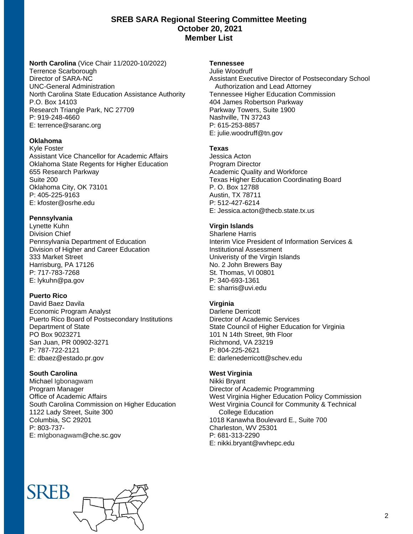# **SREB SARA Regional Steering Committee Meeting October 20, 2021 Member List**

**North Carolina** (Vice Chair 11/2020-10/2022) Terrence Scarborough Director of SARA-NC UNC-General Administration North Carolina State Education Assistance Authority P.O. Box 14103 Research Triangle Park, NC 27709 P: 919-248-4660 E: terrence@saranc.org

## **Oklahoma**

Kyle Foster Assistant Vice Chancellor for Academic Affairs Oklahoma State Regents for Higher Education 655 Research Parkway Suite 200 Oklahoma City, OK 73101 P: 405-225-9163 E: kfoster@osrhe.edu

## **Pennsylvania**

Lynette Kuhn Division Chief Pennsylvania Department of Education Division of Higher and Career Education 333 Market Street Harrisburg, PA 17126 P: 717-783-7268 E: lykuhn@pa.gov

## **Puerto Rico**

David Baez Davila Economic Program Analyst Puerto Rico Board of Postsecondary Institutions Department of State PO Box 9023271 San Juan, PR 00902-3271 P: 787-722-2121 E: dbaez@estado.pr.gov

# **South Carolina**

Michael Igbonagwam Program Manager Office of Academic Affairs South Carolina Commission on Higher Education 1122 Lady Street, Suite 300 Columbia, SC 29201 P: 803-737- E: mIgbonagwam@che.sc.gov

## **Tennessee**

Julie Woodruff Assistant Executive Director of Postsecondary School Authorization and Lead Attorney Tennessee Higher Education Commission 404 James Robertson Parkway Parkway Towers, Suite 1900 Nashville, TN 37243 P: 615-253-8857 E: julie.woodruff@tn.gov

## **Texas**

Jessica Acton Program Director Academic Quality and Workforce Texas Higher Education Coordinating Board P. O. Box 12788 Austin, TX 78711 P: 512-427-6214 E: Jessica.acton@thecb.state.tx.us

# **Virgin Islands**

Sharlene Harris Interim Vice President of Information Services & Institutional Assessment Univeristy of the Virgin Islands No. 2 John Brewers Bay St. Thomas, VI 00801 P: 340-693-1361 E: sharris@uvi.edu

# **Virginia**

Darlene Derricott Director of Academic Services State Council of Higher Education for Virginia 101 N 14th Street, 9th Floor Richmond, VA 23219 P: 804-225-2621 E: darlenederricott@schev.edu

## **West Virginia**

Nikki Bryant Director of Academic Programming West Virginia Higher Education Policy Commission West Virginia Council for Community & Technical College Education 1018 Kanawha Boulevard E., Suite 700 Charleston, WV 25301 P: 681-313-2290 E: nikki.bryant@wvhepc.edu